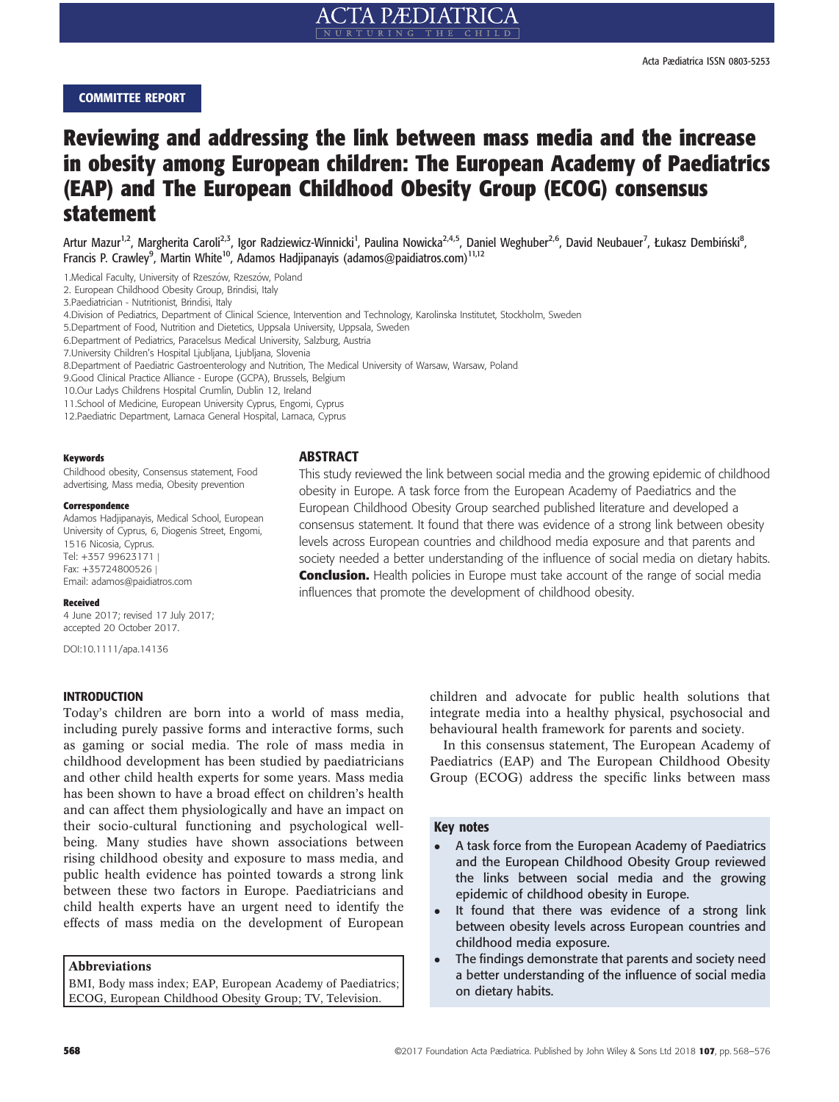## COMMITTEE REPORT

# Reviewing and addressing the link between mass media and the increase in obesity among European children: The European Academy of Paediatrics (EAP) and The European Childhood Obesity Group (ECOG) consensus statement

Artur Mazur<sup>1,2</sup>, Margherita Caroli<sup>2,3</sup>, Igor Radziewicz-Winnicki<sup>1</sup>, Paulina Nowicka<sup>2,4,5</sup>, Daniel Weghuber<sup>2,6</sup>, David Neubauer<sup>7</sup>, Łukasz Dembiński<sup>8</sup>, Francis P. Crawley<sup>9</sup>, Martin White<sup>10</sup>, Adamos Hadjipanayis (adamos@paidiatros.com)<sup>11,12</sup>

1.Medical Faculty, University of Rzeszów, Rzeszów, Poland

2. European Childhood Obesity Group, Brindisi, Italy

3.Paediatrician - Nutritionist, Brindisi, Italy

4.Division of Pediatrics, Department of Clinical Science, Intervention and Technology, Karolinska Institutet, Stockholm, Sweden

5.Department of Food, Nutrition and Dietetics, Uppsala University, Uppsala, Sweden

6.Department of Pediatrics, Paracelsus Medical University, Salzburg, Austria

7.University Children's Hospital Ljubljana, Ljubljana, Slovenia

8.Department of Paediatric Gastroenterology and Nutrition, The Medical University of Warsaw, Warsaw, Poland

9.Good Clinical Practice Alliance - Europe (GCPA), Brussels, Belgium

10.Our Ladys Childrens Hospital Crumlin, Dublin 12, Ireland

11.School of Medicine, European University Cyprus, Engomi, Cyprus

12.Paediatric Department, Larnaca General Hospital, Larnaca, Cyprus

#### Keywords

Childhood obesity, Consensus statement, Food advertising, Mass media, Obesity prevention

#### Correspondence

Adamos Hadjipanayis, Medical School, European University of Cyprus, 6, Diogenis Street, Engomi, 1516 Nicosia, Cyprus. Tel: +357 99623171 | Fax: +35724800526 | Email: adamos@paidiatros.com

#### Received

4 June 2017; revised 17 July 2017; accepted 20 October 2017.

DOI:10.1111/apa.14136

#### INTRODUCTION

Today's children are born into a world of mass media, including purely passive forms and interactive forms, such as gaming or social media. The role of mass media in childhood development has been studied by paediatricians and other child health experts for some years. Mass media has been shown to have a broad effect on children's health and can affect them physiologically and have an impact on their socio-cultural functioning and psychological wellbeing. Many studies have shown associations between rising childhood obesity and exposure to mass media, and public health evidence has pointed towards a strong link between these two factors in Europe. Paediatricians and child health experts have an urgent need to identify the effects of mass media on the development of European

## Abbreviations

BMI, Body mass index; EAP, European Academy of Paediatrics; ECOG, European Childhood Obesity Group; TV, Television.

#### **ARSTRACT**

This study reviewed the link between social media and the growing epidemic of childhood obesity in Europe. A task force from the European Academy of Paediatrics and the European Childhood Obesity Group searched published literature and developed a consensus statement. It found that there was evidence of a strong link between obesity levels across European countries and childhood media exposure and that parents and society needed a better understanding of the influence of social media on dietary habits. **Conclusion.** Health policies in Europe must take account of the range of social media influences that promote the development of childhood obesity.

> children and advocate for public health solutions that integrate media into a healthy physical, psychosocial and behavioural health framework for parents and society.

> In this consensus statement, The European Academy of Paediatrics (EAP) and The European Childhood Obesity Group (ECOG) address the specific links between mass

### Key notes

- A task force from the European Academy of Paediatrics and the European Childhood Obesity Group reviewed the links between social media and the growing epidemic of childhood obesity in Europe.
- It found that there was evidence of a strong link between obesity levels across European countries and childhood media exposure.
- The findings demonstrate that parents and society need a better understanding of the influence of social media on dietary habits.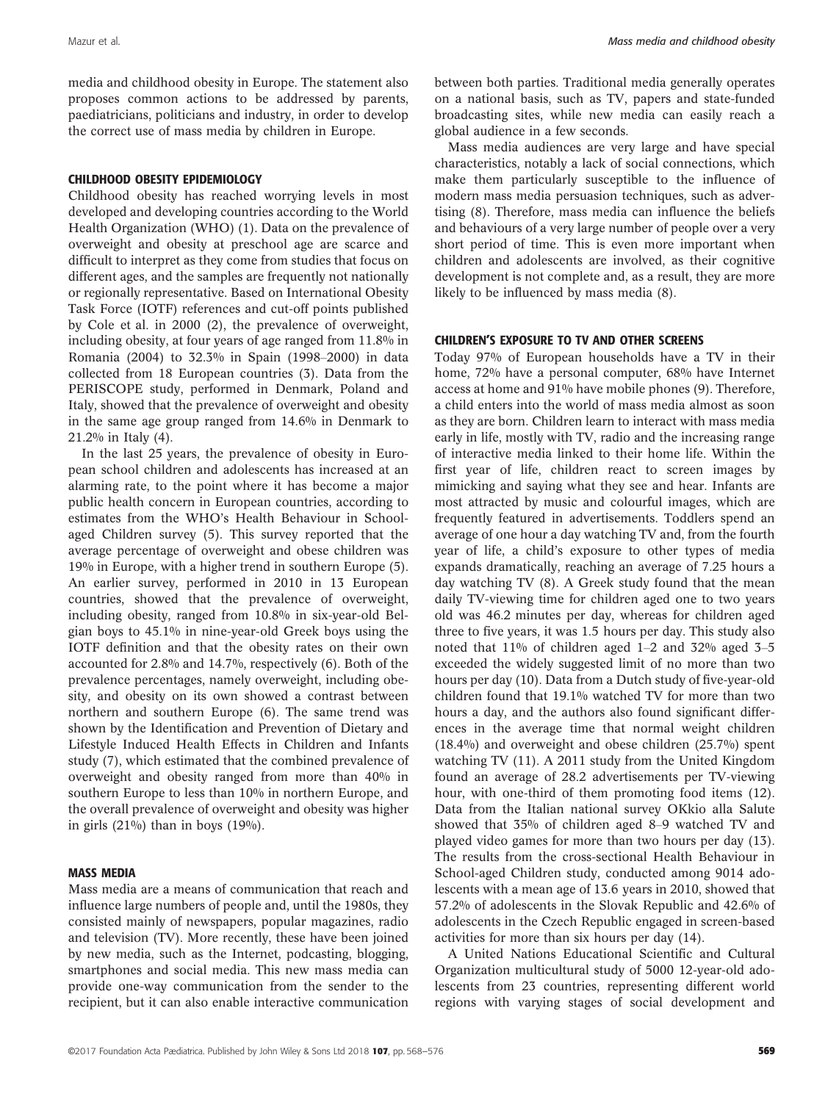media and childhood obesity in Europe. The statement also proposes common actions to be addressed by parents, paediatricians, politicians and industry, in order to develop the correct use of mass media by children in Europe.

#### CHILDHOOD OBESITY EPIDEMIOLOGY

Childhood obesity has reached worrying levels in most developed and developing countries according to the World Health Organization (WHO) (1). Data on the prevalence of overweight and obesity at preschool age are scarce and difficult to interpret as they come from studies that focus on different ages, and the samples are frequently not nationally or regionally representative. Based on International Obesity Task Force (IOTF) references and cut-off points published by Cole et al. in 2000 (2), the prevalence of overweight, including obesity, at four years of age ranged from 11.8% in Romania (2004) to 32.3% in Spain (1998–2000) in data collected from 18 European countries (3). Data from the PERISCOPE study, performed in Denmark, Poland and Italy, showed that the prevalence of overweight and obesity in the same age group ranged from 14.6% in Denmark to 21.2% in Italy (4).

In the last 25 years, the prevalence of obesity in European school children and adolescents has increased at an alarming rate, to the point where it has become a major public health concern in European countries, according to estimates from the WHO's Health Behaviour in Schoolaged Children survey (5). This survey reported that the average percentage of overweight and obese children was 19% in Europe, with a higher trend in southern Europe (5). An earlier survey, performed in 2010 in 13 European countries, showed that the prevalence of overweight, including obesity, ranged from 10.8% in six-year-old Belgian boys to 45.1% in nine-year-old Greek boys using the IOTF definition and that the obesity rates on their own accounted for 2.8% and 14.7%, respectively (6). Both of the prevalence percentages, namely overweight, including obesity, and obesity on its own showed a contrast between northern and southern Europe (6). The same trend was shown by the Identification and Prevention of Dietary and Lifestyle Induced Health Effects in Children and Infants study (7), which estimated that the combined prevalence of overweight and obesity ranged from more than 40% in southern Europe to less than 10% in northern Europe, and the overall prevalence of overweight and obesity was higher in girls  $(21\%)$  than in boys  $(19\%)$ .

#### MASS MEDIA

Mass media are a means of communication that reach and influence large numbers of people and, until the 1980s, they consisted mainly of newspapers, popular magazines, radio and television (TV). More recently, these have been joined by new media, such as the Internet, podcasting, blogging, smartphones and social media. This new mass media can provide one-way communication from the sender to the recipient, but it can also enable interactive communication between both parties. Traditional media generally operates on a national basis, such as TV, papers and state-funded broadcasting sites, while new media can easily reach a global audience in a few seconds.

Mass media audiences are very large and have special characteristics, notably a lack of social connections, which make them particularly susceptible to the influence of modern mass media persuasion techniques, such as advertising (8). Therefore, mass media can influence the beliefs and behaviours of a very large number of people over a very short period of time. This is even more important when children and adolescents are involved, as their cognitive development is not complete and, as a result, they are more likely to be influenced by mass media (8).

#### CHILDREN'S EXPOSURE TO TV AND OTHER SCREENS

Today 97% of European households have a TV in their home, 72% have a personal computer, 68% have Internet access at home and 91% have mobile phones (9). Therefore, a child enters into the world of mass media almost as soon as they are born. Children learn to interact with mass media early in life, mostly with TV, radio and the increasing range of interactive media linked to their home life. Within the first year of life, children react to screen images by mimicking and saying what they see and hear. Infants are most attracted by music and colourful images, which are frequently featured in advertisements. Toddlers spend an average of one hour a day watching TV and, from the fourth year of life, a child's exposure to other types of media expands dramatically, reaching an average of 7.25 hours a day watching TV (8). A Greek study found that the mean daily TV-viewing time for children aged one to two years old was 46.2 minutes per day, whereas for children aged three to five years, it was 1.5 hours per day. This study also noted that 11% of children aged 1–2 and 32% aged 3–5 exceeded the widely suggested limit of no more than two hours per day (10). Data from a Dutch study of five-year-old children found that 19.1% watched TV for more than two hours a day, and the authors also found significant differences in the average time that normal weight children (18.4%) and overweight and obese children (25.7%) spent watching TV (11). A 2011 study from the United Kingdom found an average of 28.2 advertisements per TV-viewing hour, with one-third of them promoting food items (12). Data from the Italian national survey OKkio alla Salute showed that 35% of children aged 8–9 watched TV and played video games for more than two hours per day (13). The results from the cross-sectional Health Behaviour in School-aged Children study, conducted among 9014 adolescents with a mean age of 13.6 years in 2010, showed that 57.2% of adolescents in the Slovak Republic and 42.6% of adolescents in the Czech Republic engaged in screen-based activities for more than six hours per day (14).

A United Nations Educational Scientific and Cultural Organization multicultural study of 5000 12-year-old adolescents from 23 countries, representing different world regions with varying stages of social development and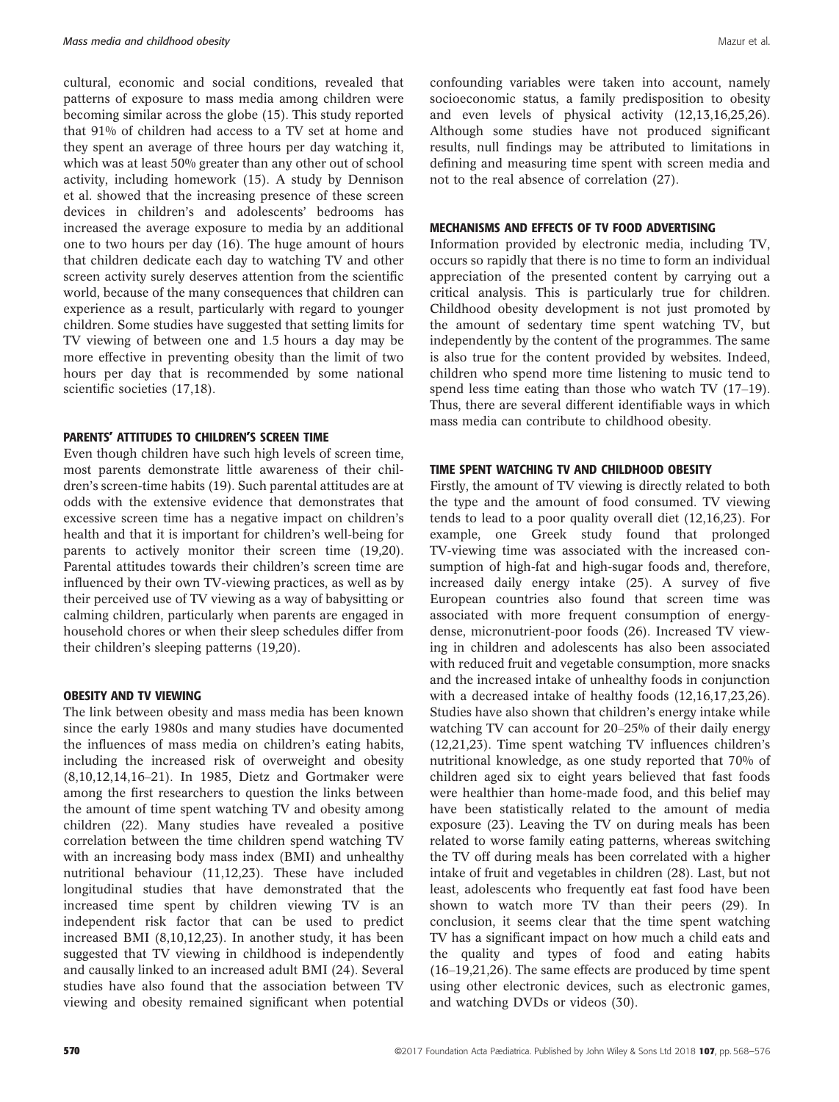cultural, economic and social conditions, revealed that patterns of exposure to mass media among children were becoming similar across the globe (15). This study reported that 91% of children had access to a TV set at home and they spent an average of three hours per day watching it, which was at least 50% greater than any other out of school activity, including homework (15). A study by Dennison et al. showed that the increasing presence of these screen devices in children's and adolescents' bedrooms has increased the average exposure to media by an additional one to two hours per day (16). The huge amount of hours that children dedicate each day to watching TV and other screen activity surely deserves attention from the scientific world, because of the many consequences that children can experience as a result, particularly with regard to younger children. Some studies have suggested that setting limits for TV viewing of between one and 1.5 hours a day may be more effective in preventing obesity than the limit of two hours per day that is recommended by some national scientific societies (17,18).

## PARENTS' ATTITUDES TO CHILDREN'S SCREEN TIME

Even though children have such high levels of screen time, most parents demonstrate little awareness of their children's screen-time habits (19). Such parental attitudes are at odds with the extensive evidence that demonstrates that excessive screen time has a negative impact on children's health and that it is important for children's well-being for parents to actively monitor their screen time (19,20). Parental attitudes towards their children's screen time are influenced by their own TV-viewing practices, as well as by their perceived use of TV viewing as a way of babysitting or calming children, particularly when parents are engaged in household chores or when their sleep schedules differ from their children's sleeping patterns (19,20).

#### OBESITY AND TV VIEWING

The link between obesity and mass media has been known since the early 1980s and many studies have documented the influences of mass media on children's eating habits, including the increased risk of overweight and obesity (8,10,12,14,16–21). In 1985, Dietz and Gortmaker were among the first researchers to question the links between the amount of time spent watching TV and obesity among children (22). Many studies have revealed a positive correlation between the time children spend watching TV with an increasing body mass index (BMI) and unhealthy nutritional behaviour (11,12,23). These have included longitudinal studies that have demonstrated that the increased time spent by children viewing TV is an independent risk factor that can be used to predict increased BMI (8,10,12,23). In another study, it has been suggested that TV viewing in childhood is independently and causally linked to an increased adult BMI (24). Several studies have also found that the association between TV viewing and obesity remained significant when potential confounding variables were taken into account, namely socioeconomic status, a family predisposition to obesity and even levels of physical activity (12,13,16,25,26). Although some studies have not produced significant results, null findings may be attributed to limitations in defining and measuring time spent with screen media and not to the real absence of correlation (27).

#### MECHANISMS AND EFFECTS OF TV FOOD ADVERTISING

Information provided by electronic media, including TV, occurs so rapidly that there is no time to form an individual appreciation of the presented content by carrying out a critical analysis. This is particularly true for children. Childhood obesity development is not just promoted by the amount of sedentary time spent watching TV, but independently by the content of the programmes. The same is also true for the content provided by websites. Indeed, children who spend more time listening to music tend to spend less time eating than those who watch TV (17–19). Thus, there are several different identifiable ways in which mass media can contribute to childhood obesity.

#### TIME SPENT WATCHING TV AND CHILDHOOD OBESITY

Firstly, the amount of TV viewing is directly related to both the type and the amount of food consumed. TV viewing tends to lead to a poor quality overall diet (12,16,23). For example, one Greek study found that prolonged TV-viewing time was associated with the increased consumption of high-fat and high-sugar foods and, therefore, increased daily energy intake (25). A survey of five European countries also found that screen time was associated with more frequent consumption of energydense, micronutrient-poor foods (26). Increased TV viewing in children and adolescents has also been associated with reduced fruit and vegetable consumption, more snacks and the increased intake of unhealthy foods in conjunction with a decreased intake of healthy foods (12,16,17,23,26). Studies have also shown that children's energy intake while watching TV can account for 20–25% of their daily energy (12,21,23). Time spent watching TV influences children's nutritional knowledge, as one study reported that 70% of children aged six to eight years believed that fast foods were healthier than home-made food, and this belief may have been statistically related to the amount of media exposure (23). Leaving the TV on during meals has been related to worse family eating patterns, whereas switching the TV off during meals has been correlated with a higher intake of fruit and vegetables in children (28). Last, but not least, adolescents who frequently eat fast food have been shown to watch more TV than their peers (29). In conclusion, it seems clear that the time spent watching TV has a significant impact on how much a child eats and the quality and types of food and eating habits (16–19,21,26). The same effects are produced by time spent using other electronic devices, such as electronic games, and watching DVDs or videos (30).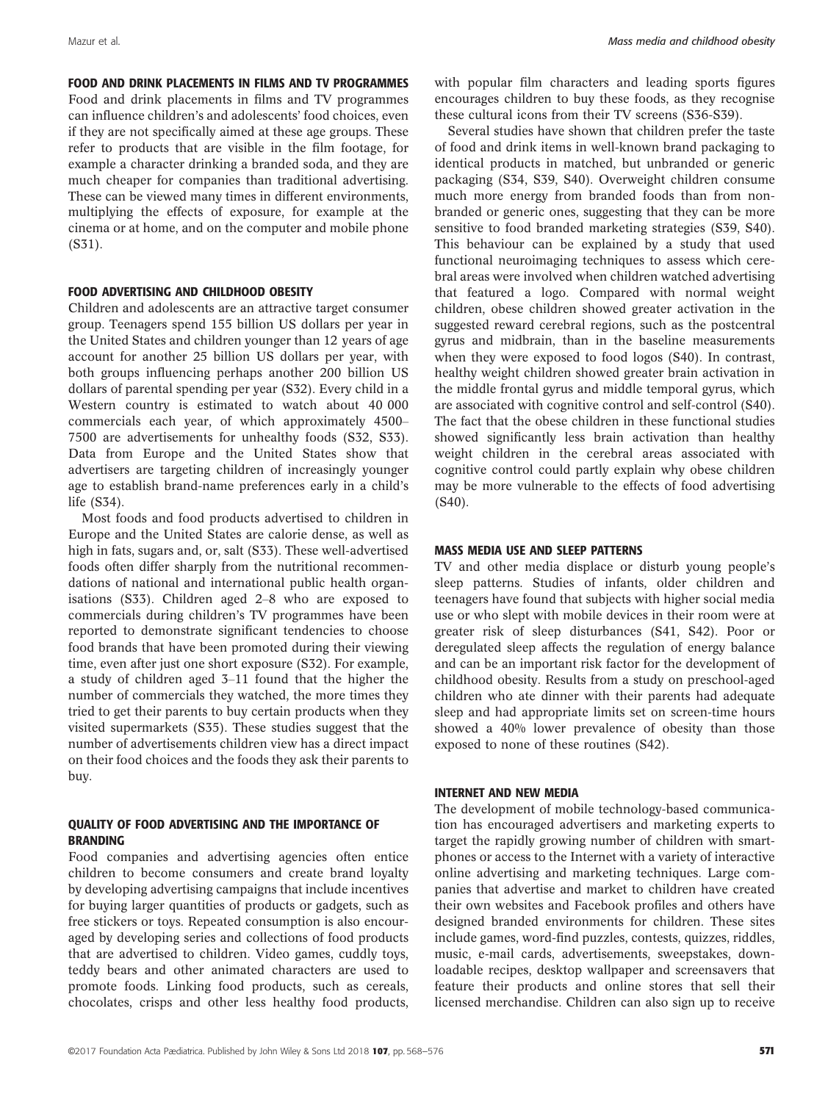FOOD AND DRINK PLACEMENTS IN FILMS AND TV PROGRAMMES

Food and drink placements in films and TV programmes can influence children's and adolescents' food choices, even if they are not specifically aimed at these age groups. These refer to products that are visible in the film footage, for example a character drinking a branded soda, and they are much cheaper for companies than traditional advertising. These can be viewed many times in different environments, multiplying the effects of exposure, for example at the cinema or at home, and on the computer and mobile phone (S31).

#### FOOD ADVERTISING AND CHILDHOOD OBESITY

Children and adolescents are an attractive target consumer group. Teenagers spend 155 billion US dollars per year in the United States and children younger than 12 years of age account for another 25 billion US dollars per year, with both groups influencing perhaps another 200 billion US dollars of parental spending per year (S32). Every child in a Western country is estimated to watch about 40 000 commercials each year, of which approximately 4500– 7500 are advertisements for unhealthy foods (S32, S33). Data from Europe and the United States show that advertisers are targeting children of increasingly younger age to establish brand-name preferences early in a child's life (S34).

Most foods and food products advertised to children in Europe and the United States are calorie dense, as well as high in fats, sugars and, or, salt (S33). These well-advertised foods often differ sharply from the nutritional recommendations of national and international public health organisations (S33). Children aged 2–8 who are exposed to commercials during children's TV programmes have been reported to demonstrate significant tendencies to choose food brands that have been promoted during their viewing time, even after just one short exposure (S32). For example, a study of children aged 3–11 found that the higher the number of commercials they watched, the more times they tried to get their parents to buy certain products when they visited supermarkets (S35). These studies suggest that the number of advertisements children view has a direct impact on their food choices and the foods they ask their parents to buy.

## QUALITY OF FOOD ADVERTISING AND THE IMPORTANCE OF BRANDING

Food companies and advertising agencies often entice children to become consumers and create brand loyalty by developing advertising campaigns that include incentives for buying larger quantities of products or gadgets, such as free stickers or toys. Repeated consumption is also encouraged by developing series and collections of food products that are advertised to children. Video games, cuddly toys, teddy bears and other animated characters are used to promote foods. Linking food products, such as cereals, chocolates, crisps and other less healthy food products, with popular film characters and leading sports figures encourages children to buy these foods, as they recognise these cultural icons from their TV screens (S36-S39).

Several studies have shown that children prefer the taste of food and drink items in well-known brand packaging to identical products in matched, but unbranded or generic packaging (S34, S39, S40). Overweight children consume much more energy from branded foods than from nonbranded or generic ones, suggesting that they can be more sensitive to food branded marketing strategies (S39, S40). This behaviour can be explained by a study that used functional neuroimaging techniques to assess which cerebral areas were involved when children watched advertising that featured a logo. Compared with normal weight children, obese children showed greater activation in the suggested reward cerebral regions, such as the postcentral gyrus and midbrain, than in the baseline measurements when they were exposed to food logos (S40). In contrast, healthy weight children showed greater brain activation in the middle frontal gyrus and middle temporal gyrus, which are associated with cognitive control and self-control (S40). The fact that the obese children in these functional studies showed significantly less brain activation than healthy weight children in the cerebral areas associated with cognitive control could partly explain why obese children may be more vulnerable to the effects of food advertising (S40).

#### MASS MEDIA USE AND SLEEP PATTERNS

TV and other media displace or disturb young people's sleep patterns. Studies of infants, older children and teenagers have found that subjects with higher social media use or who slept with mobile devices in their room were at greater risk of sleep disturbances (S41, S42). Poor or deregulated sleep affects the regulation of energy balance and can be an important risk factor for the development of childhood obesity. Results from a study on preschool-aged children who ate dinner with their parents had adequate sleep and had appropriate limits set on screen-time hours showed a 40% lower prevalence of obesity than those exposed to none of these routines (S42).

#### INTERNET AND NEW MEDIA

The development of mobile technology-based communication has encouraged advertisers and marketing experts to target the rapidly growing number of children with smartphones or access to the Internet with a variety of interactive online advertising and marketing techniques. Large companies that advertise and market to children have created their own websites and Facebook profiles and others have designed branded environments for children. These sites include games, word-find puzzles, contests, quizzes, riddles, music, e-mail cards, advertisements, sweepstakes, downloadable recipes, desktop wallpaper and screensavers that feature their products and online stores that sell their licensed merchandise. Children can also sign up to receive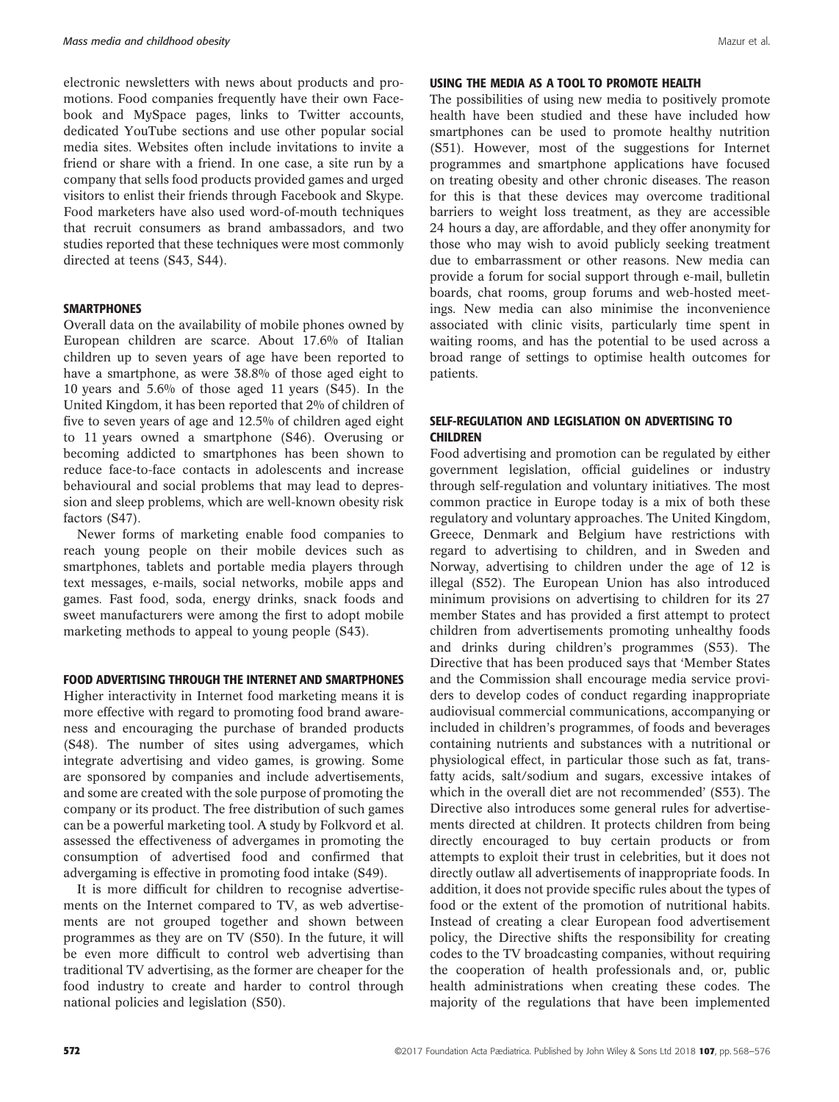electronic newsletters with news about products and promotions. Food companies frequently have their own Facebook and MySpace pages, links to Twitter accounts, dedicated YouTube sections and use other popular social media sites. Websites often include invitations to invite a friend or share with a friend. In one case, a site run by a company that sells food products provided games and urged visitors to enlist their friends through Facebook and Skype. Food marketers have also used word-of-mouth techniques that recruit consumers as brand ambassadors, and two studies reported that these techniques were most commonly directed at teens (S43, S44).

## **SMARTPHONES**

Overall data on the availability of mobile phones owned by European children are scarce. About 17.6% of Italian children up to seven years of age have been reported to have a smartphone, as were 38.8% of those aged eight to 10 years and 5.6% of those aged 11 years (S45). In the United Kingdom, it has been reported that 2% of children of five to seven years of age and 12.5% of children aged eight to 11 years owned a smartphone (S46). Overusing or becoming addicted to smartphones has been shown to reduce face-to-face contacts in adolescents and increase behavioural and social problems that may lead to depression and sleep problems, which are well-known obesity risk factors (S47).

Newer forms of marketing enable food companies to reach young people on their mobile devices such as smartphones, tablets and portable media players through text messages, e-mails, social networks, mobile apps and games. Fast food, soda, energy drinks, snack foods and sweet manufacturers were among the first to adopt mobile marketing methods to appeal to young people (S43).

#### FOOD ADVERTISING THROUGH THE INTERNET AND SMARTPHONES

Higher interactivity in Internet food marketing means it is more effective with regard to promoting food brand awareness and encouraging the purchase of branded products (S48). The number of sites using advergames, which integrate advertising and video games, is growing. Some are sponsored by companies and include advertisements, and some are created with the sole purpose of promoting the company or its product. The free distribution of such games can be a powerful marketing tool. A study by Folkvord et al. assessed the effectiveness of advergames in promoting the consumption of advertised food and confirmed that advergaming is effective in promoting food intake (S49).

It is more difficult for children to recognise advertisements on the Internet compared to TV, as web advertisements are not grouped together and shown between programmes as they are on TV (S50). In the future, it will be even more difficult to control web advertising than traditional TV advertising, as the former are cheaper for the food industry to create and harder to control through national policies and legislation (S50).

### USING THE MEDIA AS A TOOL TO PROMOTE HEALTH

The possibilities of using new media to positively promote health have been studied and these have included how smartphones can be used to promote healthy nutrition (S51). However, most of the suggestions for Internet programmes and smartphone applications have focused on treating obesity and other chronic diseases. The reason for this is that these devices may overcome traditional barriers to weight loss treatment, as they are accessible 24 hours a day, are affordable, and they offer anonymity for those who may wish to avoid publicly seeking treatment due to embarrassment or other reasons. New media can provide a forum for social support through e-mail, bulletin boards, chat rooms, group forums and web-hosted meetings. New media can also minimise the inconvenience associated with clinic visits, particularly time spent in waiting rooms, and has the potential to be used across a broad range of settings to optimise health outcomes for patients.

## SELF-REGULATION AND LEGISLATION ON ADVERTISING TO **CHILDREN**

Food advertising and promotion can be regulated by either government legislation, official guidelines or industry through self-regulation and voluntary initiatives. The most common practice in Europe today is a mix of both these regulatory and voluntary approaches. The United Kingdom, Greece, Denmark and Belgium have restrictions with regard to advertising to children, and in Sweden and Norway, advertising to children under the age of 12 is illegal (S52). The European Union has also introduced minimum provisions on advertising to children for its 27 member States and has provided a first attempt to protect children from advertisements promoting unhealthy foods and drinks during children's programmes (S53). The Directive that has been produced says that 'Member States and the Commission shall encourage media service providers to develop codes of conduct regarding inappropriate audiovisual commercial communications, accompanying or included in children's programmes, of foods and beverages containing nutrients and substances with a nutritional or physiological effect, in particular those such as fat, transfatty acids, salt/sodium and sugars, excessive intakes of which in the overall diet are not recommended' (S53). The Directive also introduces some general rules for advertisements directed at children. It protects children from being directly encouraged to buy certain products or from attempts to exploit their trust in celebrities, but it does not directly outlaw all advertisements of inappropriate foods. In addition, it does not provide specific rules about the types of food or the extent of the promotion of nutritional habits. Instead of creating a clear European food advertisement policy, the Directive shifts the responsibility for creating codes to the TV broadcasting companies, without requiring the cooperation of health professionals and, or, public health administrations when creating these codes. The majority of the regulations that have been implemented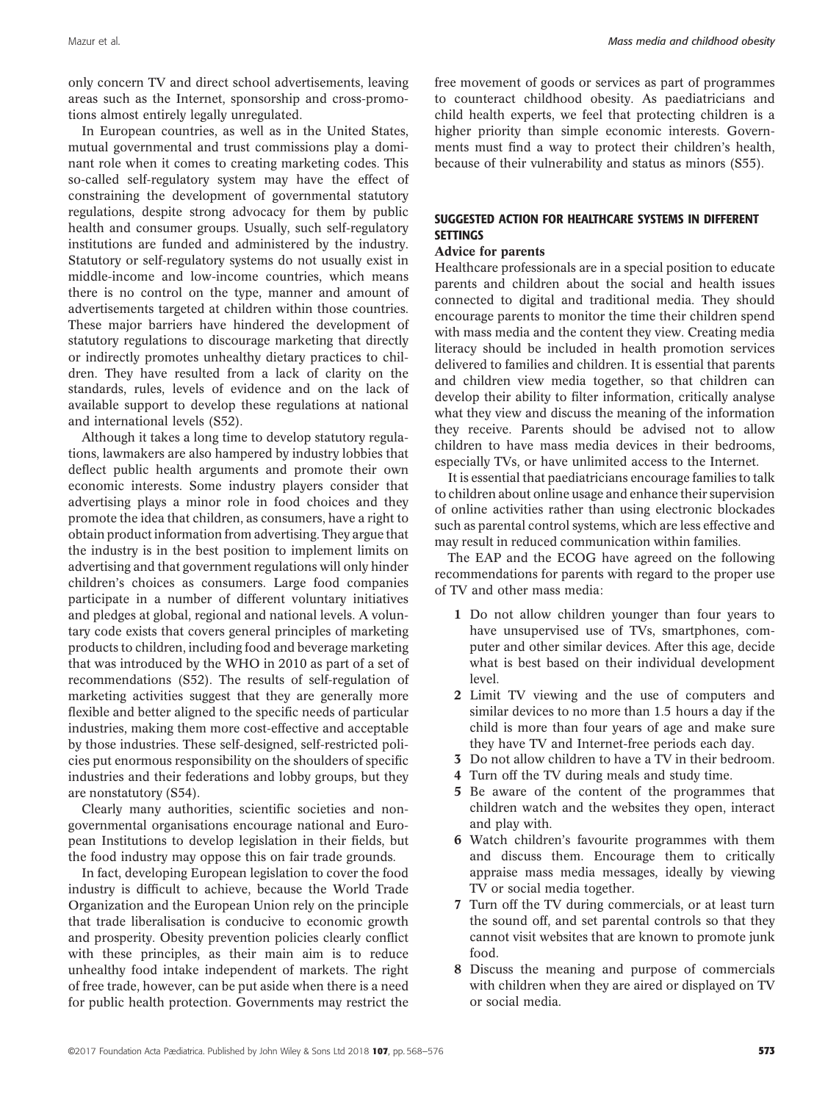only concern TV and direct school advertisements, leaving areas such as the Internet, sponsorship and cross-promotions almost entirely legally unregulated.

In European countries, as well as in the United States, mutual governmental and trust commissions play a dominant role when it comes to creating marketing codes. This so-called self-regulatory system may have the effect of constraining the development of governmental statutory regulations, despite strong advocacy for them by public health and consumer groups. Usually, such self-regulatory institutions are funded and administered by the industry. Statutory or self-regulatory systems do not usually exist in middle-income and low-income countries, which means there is no control on the type, manner and amount of advertisements targeted at children within those countries. These major barriers have hindered the development of statutory regulations to discourage marketing that directly or indirectly promotes unhealthy dietary practices to children. They have resulted from a lack of clarity on the standards, rules, levels of evidence and on the lack of available support to develop these regulations at national and international levels (S52).

Although it takes a long time to develop statutory regulations, lawmakers are also hampered by industry lobbies that deflect public health arguments and promote their own economic interests. Some industry players consider that advertising plays a minor role in food choices and they promote the idea that children, as consumers, have a right to obtain product information from advertising. They argue that the industry is in the best position to implement limits on advertising and that government regulations will only hinder children's choices as consumers. Large food companies participate in a number of different voluntary initiatives and pledges at global, regional and national levels. A voluntary code exists that covers general principles of marketing products to children, including food and beverage marketing that was introduced by the WHO in 2010 as part of a set of recommendations (S52). The results of self-regulation of marketing activities suggest that they are generally more flexible and better aligned to the specific needs of particular industries, making them more cost-effective and acceptable by those industries. These self-designed, self-restricted policies put enormous responsibility on the shoulders of specific industries and their federations and lobby groups, but they are nonstatutory (S54).

Clearly many authorities, scientific societies and nongovernmental organisations encourage national and European Institutions to develop legislation in their fields, but the food industry may oppose this on fair trade grounds.

In fact, developing European legislation to cover the food industry is difficult to achieve, because the World Trade Organization and the European Union rely on the principle that trade liberalisation is conducive to economic growth and prosperity. Obesity prevention policies clearly conflict with these principles, as their main aim is to reduce unhealthy food intake independent of markets. The right of free trade, however, can be put aside when there is a need for public health protection. Governments may restrict the free movement of goods or services as part of programmes to counteract childhood obesity. As paediatricians and child health experts, we feel that protecting children is a higher priority than simple economic interests. Governments must find a way to protect their children's health, because of their vulnerability and status as minors (S55).

## SUGGESTED ACTION FOR HEALTHCARE SYSTEMS IN DIFFERENT **SETTINGS**

#### Advice for parents

Healthcare professionals are in a special position to educate parents and children about the social and health issues connected to digital and traditional media. They should encourage parents to monitor the time their children spend with mass media and the content they view. Creating media literacy should be included in health promotion services delivered to families and children. It is essential that parents and children view media together, so that children can develop their ability to filter information, critically analyse what they view and discuss the meaning of the information they receive. Parents should be advised not to allow children to have mass media devices in their bedrooms, especially TVs, or have unlimited access to the Internet.

It is essential that paediatricians encourage families to talk to children about online usage and enhance their supervision of online activities rather than using electronic blockades such as parental control systems, which are less effective and may result in reduced communication within families.

The EAP and the ECOG have agreed on the following recommendations for parents with regard to the proper use of TV and other mass media:

- 1 Do not allow children younger than four years to have unsupervised use of TVs, smartphones, computer and other similar devices. After this age, decide what is best based on their individual development level.
- 2 Limit TV viewing and the use of computers and similar devices to no more than 1.5 hours a day if the child is more than four years of age and make sure they have TV and Internet-free periods each day.
- 3 Do not allow children to have a TV in their bedroom.
- 4 Turn off the TV during meals and study time.
- 5 Be aware of the content of the programmes that children watch and the websites they open, interact and play with.
- 6 Watch children's favourite programmes with them and discuss them. Encourage them to critically appraise mass media messages, ideally by viewing TV or social media together.
- 7 Turn off the TV during commercials, or at least turn the sound off, and set parental controls so that they cannot visit websites that are known to promote junk food.
- 8 Discuss the meaning and purpose of commercials with children when they are aired or displayed on TV or social media.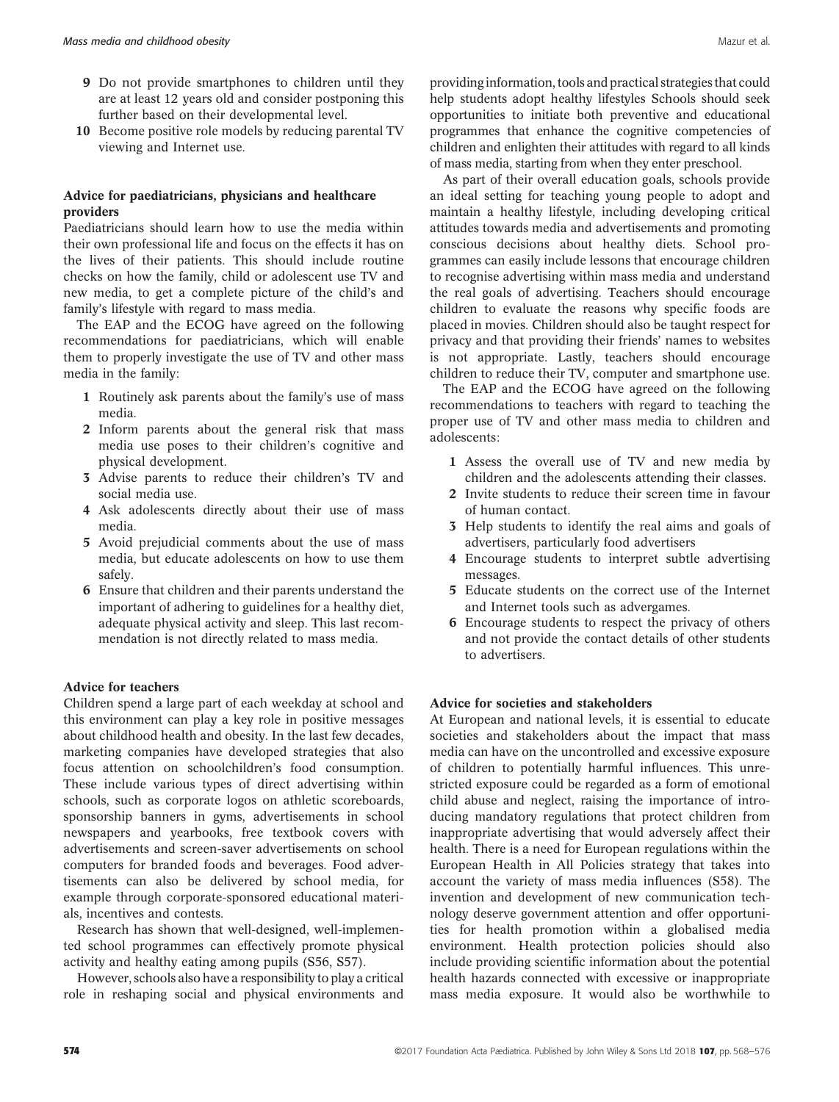- 9 Do not provide smartphones to children until they are at least 12 years old and consider postponing this further based on their developmental level.
- 10 Become positive role models by reducing parental TV viewing and Internet use.

## Advice for paediatricians, physicians and healthcare providers

Paediatricians should learn how to use the media within their own professional life and focus on the effects it has on the lives of their patients. This should include routine checks on how the family, child or adolescent use TV and new media, to get a complete picture of the child's and family's lifestyle with regard to mass media.

The EAP and the ECOG have agreed on the following recommendations for paediatricians, which will enable them to properly investigate the use of TV and other mass media in the family:

- 1 Routinely ask parents about the family's use of mass media.
- 2 Inform parents about the general risk that mass media use poses to their children's cognitive and physical development.
- 3 Advise parents to reduce their children's TV and social media use.
- 4 Ask adolescents directly about their use of mass media.
- 5 Avoid prejudicial comments about the use of mass media, but educate adolescents on how to use them safely.
- 6 Ensure that children and their parents understand the important of adhering to guidelines for a healthy diet, adequate physical activity and sleep. This last recommendation is not directly related to mass media.

## Advice for teachers

Children spend a large part of each weekday at school and this environment can play a key role in positive messages about childhood health and obesity. In the last few decades, marketing companies have developed strategies that also focus attention on schoolchildren's food consumption. These include various types of direct advertising within schools, such as corporate logos on athletic scoreboards, sponsorship banners in gyms, advertisements in school newspapers and yearbooks, free textbook covers with advertisements and screen-saver advertisements on school computers for branded foods and beverages. Food advertisements can also be delivered by school media, for example through corporate-sponsored educational materials, incentives and contests.

Research has shown that well-designed, well-implemented school programmes can effectively promote physical activity and healthy eating among pupils (S56, S57).

However, schools also have a responsibility to play a critical role in reshaping social and physical environments and providinginformation, tools and practical strategies that could help students adopt healthy lifestyles Schools should seek opportunities to initiate both preventive and educational programmes that enhance the cognitive competencies of children and enlighten their attitudes with regard to all kinds of mass media, starting from when they enter preschool.

As part of their overall education goals, schools provide an ideal setting for teaching young people to adopt and maintain a healthy lifestyle, including developing critical attitudes towards media and advertisements and promoting conscious decisions about healthy diets. School programmes can easily include lessons that encourage children to recognise advertising within mass media and understand the real goals of advertising. Teachers should encourage children to evaluate the reasons why specific foods are placed in movies. Children should also be taught respect for privacy and that providing their friends' names to websites is not appropriate. Lastly, teachers should encourage children to reduce their TV, computer and smartphone use.

The EAP and the ECOG have agreed on the following recommendations to teachers with regard to teaching the proper use of TV and other mass media to children and adolescents:

- 1 Assess the overall use of TV and new media by children and the adolescents attending their classes.
- 2 Invite students to reduce their screen time in favour of human contact.
- 3 Help students to identify the real aims and goals of advertisers, particularly food advertisers
- 4 Encourage students to interpret subtle advertising messages.
- 5 Educate students on the correct use of the Internet and Internet tools such as advergames.
- 6 Encourage students to respect the privacy of others and not provide the contact details of other students to advertisers.

# Advice for societies and stakeholders

At European and national levels, it is essential to educate societies and stakeholders about the impact that mass media can have on the uncontrolled and excessive exposure of children to potentially harmful influences. This unrestricted exposure could be regarded as a form of emotional child abuse and neglect, raising the importance of introducing mandatory regulations that protect children from inappropriate advertising that would adversely affect their health. There is a need for European regulations within the European Health in All Policies strategy that takes into account the variety of mass media influences (S58). The invention and development of new communication technology deserve government attention and offer opportunities for health promotion within a globalised media environment. Health protection policies should also include providing scientific information about the potential health hazards connected with excessive or inappropriate mass media exposure. It would also be worthwhile to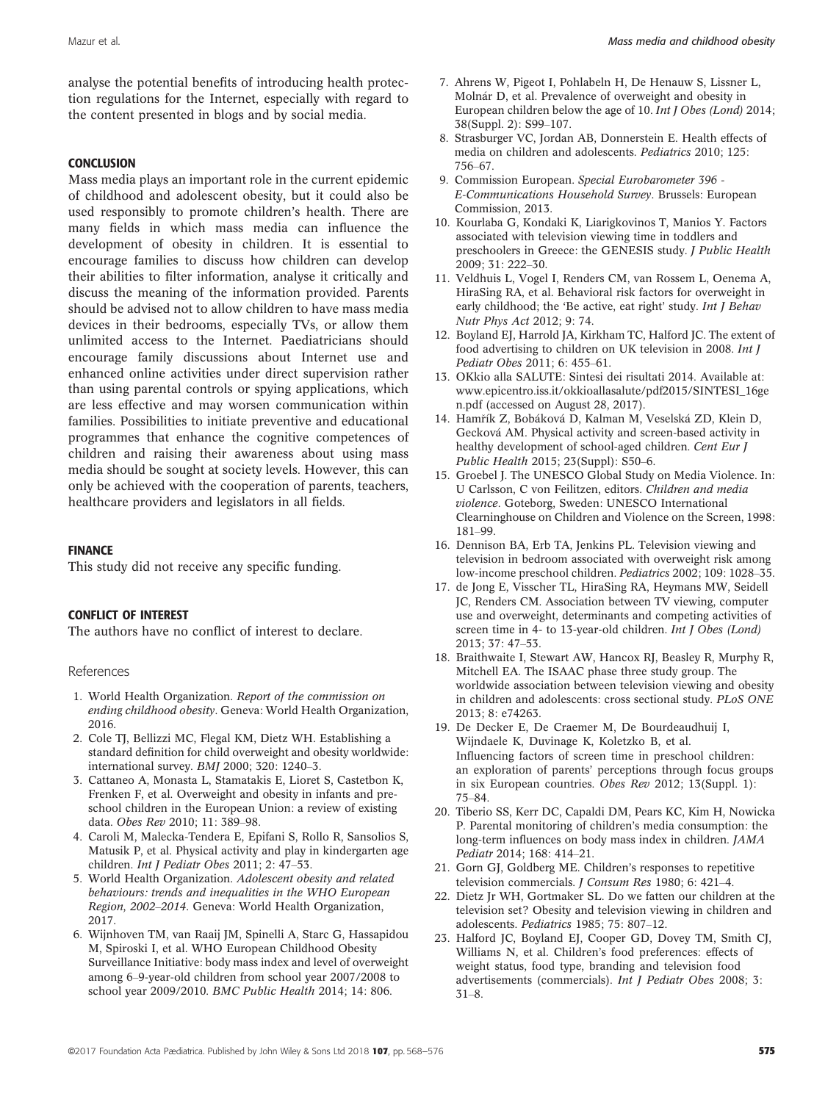analyse the potential benefits of introducing health protection regulations for the Internet, especially with regard to the content presented in blogs and by social media.

## **CONCLUSION**

Mass media plays an important role in the current epidemic of childhood and adolescent obesity, but it could also be used responsibly to promote children's health. There are many fields in which mass media can influence the development of obesity in children. It is essential to encourage families to discuss how children can develop their abilities to filter information, analyse it critically and discuss the meaning of the information provided. Parents should be advised not to allow children to have mass media devices in their bedrooms, especially TVs, or allow them unlimited access to the Internet. Paediatricians should encourage family discussions about Internet use and enhanced online activities under direct supervision rather than using parental controls or spying applications, which are less effective and may worsen communication within families. Possibilities to initiate preventive and educational programmes that enhance the cognitive competences of children and raising their awareness about using mass media should be sought at society levels. However, this can only be achieved with the cooperation of parents, teachers, healthcare providers and legislators in all fields.

## FINANCE

This study did not receive any specific funding.

## CONFLICT OF INTEREST

The authors have no conflict of interest to declare.

#### References

- 1. World Health Organization. Report of the commission on ending childhood obesity. Geneva: World Health Organization, 2016.
- 2. Cole TJ, Bellizzi MC, Flegal KM, Dietz WH. Establishing a standard definition for child overweight and obesity worldwide: international survey. BMJ 2000; 320: 1240–3.
- 3. Cattaneo A, Monasta L, Stamatakis E, Lioret S, Castetbon K, Frenken F, et al. Overweight and obesity in infants and preschool children in the European Union: a review of existing data. Obes Rev 2010; 11: 389–98.
- 4. Caroli M, Malecka-Tendera E, Epifani S, Rollo R, Sansolios S, Matusik P, et al. Physical activity and play in kindergarten age children. Int J Pediatr Obes 2011; 2: 47–53.
- 5. World Health Organization. Adolescent obesity and related behaviours: trends and inequalities in the WHO European Region, 2002–2014. Geneva: World Health Organization, 2017.
- 6. Wijnhoven TM, van Raaij JM, Spinelli A, Starc G, Hassapidou M, Spiroski I, et al. WHO European Childhood Obesity Surveillance Initiative: body mass index and level of overweight among 6–9-year-old children from school year 2007/2008 to school year 2009/2010. BMC Public Health 2014; 14: 806.
- 7. Ahrens W, Pigeot I, Pohlabeln H, De Henauw S, Lissner L, Molnar D, et al. Prevalence of overweight and obesity in European children below the age of 10. Int J Obes (Lond) 2014; 38(Suppl. 2): S99–107.
- 8. Strasburger VC, Jordan AB, Donnerstein E. Health effects of media on children and adolescents. Pediatrics 2010; 125: 756–67.
- 9. Commission European. Special Eurobarometer 396 E-Communications Household Survey. Brussels: European Commission, 2013.
- 10. Kourlaba G, Kondaki K, Liarigkovinos T, Manios Y. Factors associated with television viewing time in toddlers and preschoolers in Greece: the GENESIS study. J Public Health 2009; 31: 222–30.
- 11. Veldhuis L, Vogel I, Renders CM, van Rossem L, Oenema A, HiraSing RA, et al. Behavioral risk factors for overweight in early childhood; the 'Be active, eat right' study. Int J Behav Nutr Phys Act 2012; 9: 74.
- 12. Boyland EJ, Harrold JA, Kirkham TC, Halford JC. The extent of food advertising to children on UK television in 2008. Int J Pediatr Obes 2011; 6: 455–61.
- 13. OKkio alla SALUTE: Sintesi dei risultati 2014. Available at: [www.epicentro.iss.it/okkioallasalute/pdf2015/SINTESI\\_16ge](http://www.epicentro.iss.it/okkioallasalute/pdf2015/SINTESI_16gen.pdf) [n.pdf](http://www.epicentro.iss.it/okkioallasalute/pdf2015/SINTESI_16gen.pdf) (accessed on August 28, 2017).
- 14. Hamřík Z, Bobáková D, Kalman M, Veselská ZD, Klein D, Geckova AM. Physical activity and screen-based activity in healthy development of school-aged children. Cent Eur J Public Health 2015; 23(Suppl): S50–6.
- 15. Groebel J. The UNESCO Global Study on Media Violence. In: U Carlsson, C von Feilitzen, editors. Children and media violence. Goteborg, Sweden: UNESCO International Clearninghouse on Children and Violence on the Screen, 1998: 181–99.
- 16. Dennison BA, Erb TA, Jenkins PL. Television viewing and television in bedroom associated with overweight risk among low-income preschool children. Pediatrics 2002; 109: 1028–35.
- 17. de Jong E, Visscher TL, HiraSing RA, Heymans MW, Seidell JC, Renders CM. Association between TV viewing, computer use and overweight, determinants and competing activities of screen time in 4- to 13-year-old children. Int J Obes (Lond) 2013; 37: 47–53.
- 18. Braithwaite I, Stewart AW, Hancox RJ, Beasley R, Murphy R, Mitchell EA. The ISAAC phase three study group. The worldwide association between television viewing and obesity in children and adolescents: cross sectional study. PLoS ONE 2013; 8: e74263.
- 19. De Decker E, De Craemer M, De Bourdeaudhuij I, Wijndaele K, Duvinage K, Koletzko B, et al. Influencing factors of screen time in preschool children: an exploration of parents' perceptions through focus groups in six European countries. Obes Rev 2012; 13(Suppl. 1): 75–84.
- 20. Tiberio SS, Kerr DC, Capaldi DM, Pears KC, Kim H, Nowicka P. Parental monitoring of children's media consumption: the long-term influences on body mass index in children. JAMA Pediatr 2014; 168: 414–21.
- 21. Gorn GJ, Goldberg ME. Children's responses to repetitive television commercials. J Consum Res 1980; 6: 421–4.
- 22. Dietz Jr WH, Gortmaker SL. Do we fatten our children at the television set? Obesity and television viewing in children and adolescents. Pediatrics 1985; 75: 807–12.
- 23. Halford JC, Boyland EJ, Cooper GD, Dovey TM, Smith CJ, Williams N, et al. Children's food preferences: effects of weight status, food type, branding and television food advertisements (commercials). Int J Pediatr Obes 2008; 3: 31–8.